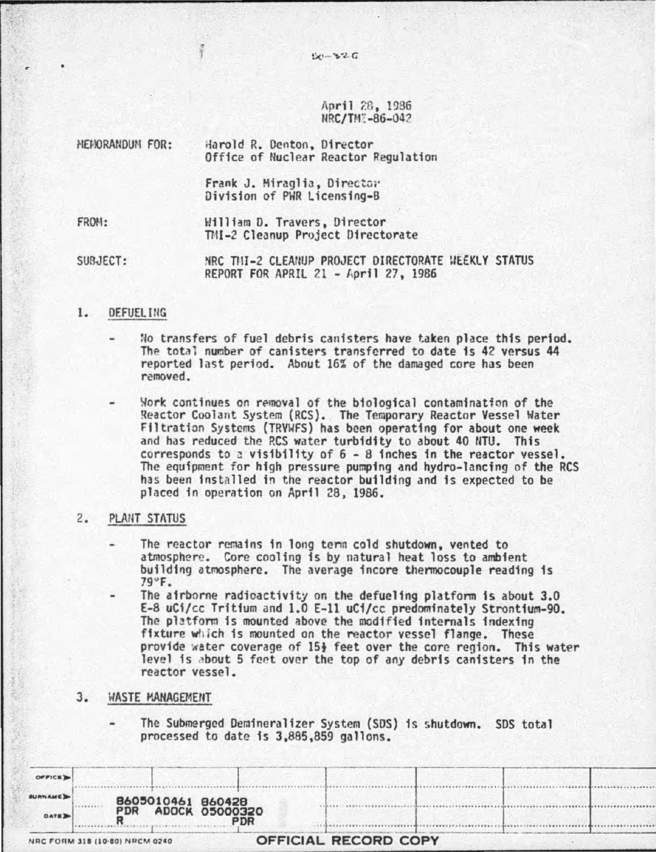April 28, 1936 NRC/TW: -86-04?

MEMORANDUM FOR: Harold R. Denton, Director FROH: Office of Nuclear Reactor Regulation Frank J. Miraglia, Director; Division of PWR Licensing-B William D. Travers, Director

SUBJECT: NRC TIII-2 CLEANUP PROJECT DIRECTORATE WEEKLY STATUS REPORT FOR APRIL 21 - April 27, 1986

TMI-2 Cleanup Project Directorate

# 1. DEFUEL ING

No transfers of fuel debris canisters have taken place this period. The total number of canisters transferred to date is 42 versus 44 reported last period. About 16% of the damaged core has been removed.

Nork continues on removal of the biological contamination of the Reactor Coolant System (RCS). The Temporary Reactor Vessel Water Filtration Systems (TRVWFS) has been operating for about one week and has reduced the RCS water turbidity to about 40 NTU. This corresponds to a visibility of  $6 - 8$  inches in the reactor vessel. The equipment for high pressure pumping and hydro-lancing of the RCS has been installed in the reactor building and is expected to be placed fn operation on April 28, 1986.

## 2. PLAriT STATUS

- The reactor remains in long term cold shutdown, vented to atmosphere. Core cooling is by natural heat loss to ambient building atmosphere. The average incore thermocouple reading is 79"F.
- The airborne radioactivity on the defue11ng platform is about 3.0 E-8 uCi/cc Tritium and 1.0 E-ll uCi/cc predominately Strontfum-90. fixture which is mounted on the reactor vessel flange. These provide water coverage of 15} feet over the core region. This water level is about 5 feet over the top of any debris canisters in the reactor vessel.

# 3. WASTE MANAGEMENT

The Submerged Demineralizer System (SDS) is shutdown. SDS total processed to date fs 3,885,859 gallons.

|                | processed to date is 3,885,859 gallons. | The Submerged Deminerative: 3736600 (303) is subcoomic 303 rotal |
|----------------|-----------------------------------------|------------------------------------------------------------------|
|                |                                         |                                                                  |
|                |                                         |                                                                  |
| OFFICE D       |                                         |                                                                  |
| <b>SURNAME</b> | 8605010461 860428                       |                                                                  |
| <b>DATE</b>    | <b>ADOCK 05000320</b><br>PDR<br>PDR     |                                                                  |
|                | NRC FORM 318 (10-80) NRCM 0240          | OFFICIAL RECORD COPY                                             |

 $50 - 326$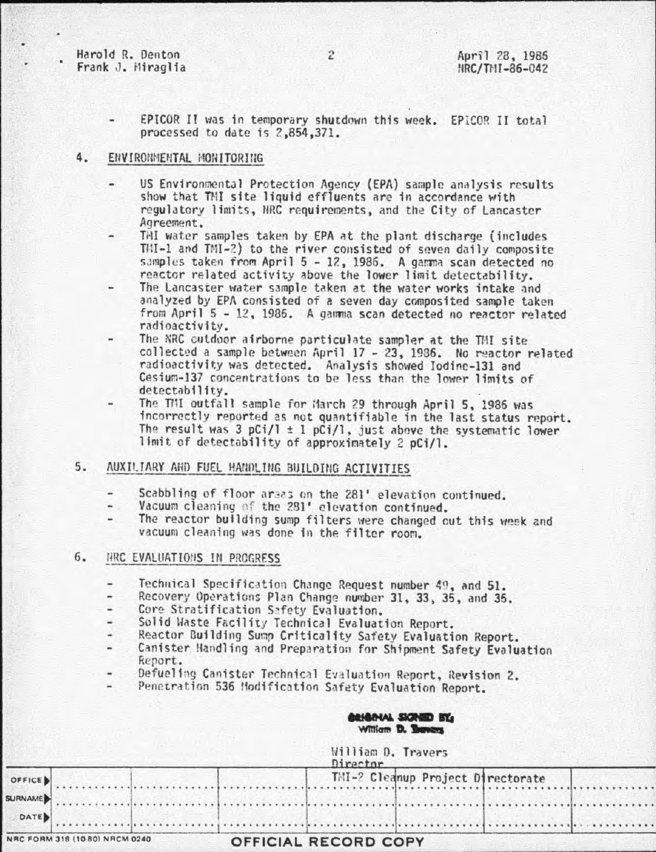Harold R. Denton Frank J. Miraglia

EPICOR II was in temporary shutdown this week. EPICOR II total processed to date is 2,854,371.

#### 4. ENVIRONMENTAL MONITORING

- US Environmental Protection Agency (EPA) sample analysis results show that TMI site liquid effluents are in accordance with regulatory limits, NRC requirements, and the City of Lancaster Agreement.
- THI water samples taken by EPA at the plant discharge (includes TMI-1 and TMI-2) to the river consisted of seven daily composite samples taken from April 5 - 12, 1986. A gamma scan detected no reactor related activity above the lower limit detectability.
- The Lancaster water sample taken at the water works intake and analyzed by EPA consisted of a seven day composited sample taken from April 5 - 12, 1986. A gamma scan detected no reactor related radioactivity.
- The NRC cutdoor airborne particulate sampler at the TMI site collected a sample between April 17 - 23, 1986. No reactor related radioactivity was detected. Analysis showed Iodine-131 and Cesium-137 concentrations to be less than the lower limits of detectability.
- The TNI outfall sample for March 29 through April 5, 1986 was incorrectly reported as not quantifiable in the last status report. The result was 3 pCi/l  $\pm$  1 pCi/l, just above the systematic lower limit of detectability of approximately 2 pCi/l.

#### AUXILIARY AND FUEL HANDLING BUILDING ACTIVITIES 5.

- Scabbling of floor areas on the 281' elevation continued.
- Vacuum cleaning of the 281' elevation continued.
- The reactor building sump filters were changed cut this week and vacuum cleaning was done in the filter room.

#### $6.$ THRC EVALUATIONS IN PROGRESS

S

- Technical Specification Change Request number 49, and 51.
- Recovery Operations Plan Change number 31, 33, 35, and 35.
- Core Stratification Safety Evaluation.
- Solid Waste Facility Technical Evaluation Report.
- Reactor Building Sump Criticality Safety Evaluation Report.
- Canister Handling and Preparation for Shipment Safety Evaluation Report.
- Defueling Canister Technical Evaluation Report, Revision 2.
- Penetration 536 Modification Safety Evaluation Report.

### **CRICALAL SIGNED BY William D. Beneg**

|                                |  |                             | William D. Travers<br>Director |  |  |  |                                   |  |
|--------------------------------|--|-----------------------------|--------------------------------|--|--|--|-----------------------------------|--|
| OFFICE                         |  |                             |                                |  |  |  | TMI-2 Cleanup Project Directorate |  |
| <b>SURNAME</b>                 |  |                             |                                |  |  |  |                                   |  |
| DATE                           |  |                             |                                |  |  |  |                                   |  |
| NRC FORM 318 (10 80) NRCM 0240 |  | <b>OFFICIAL RECORD COPY</b> |                                |  |  |  |                                   |  |